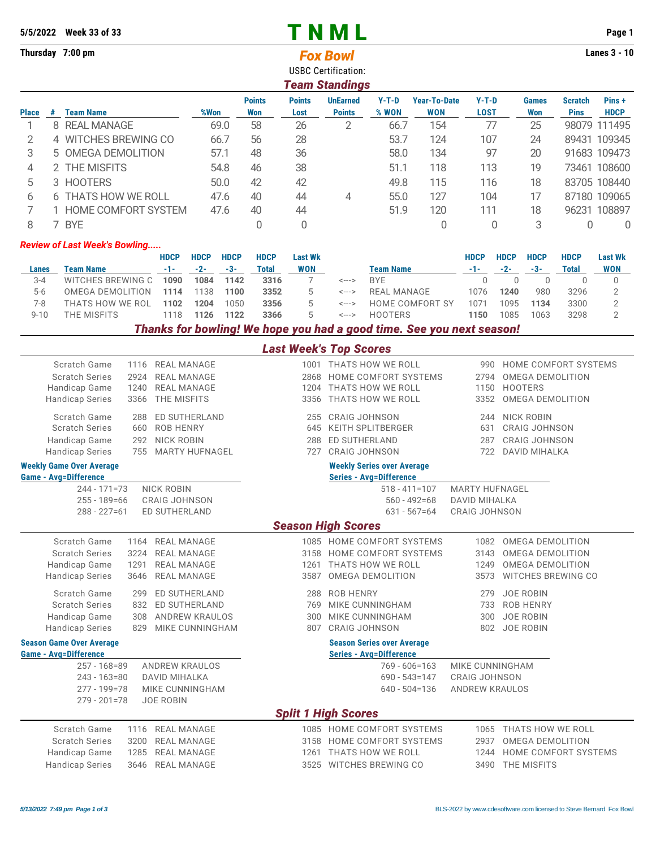## 5/5/2022 Week 33 of 33 **T N M L** Page 1

**Thursday 7:00 pm Lanes 3 - 10** *Fox Bowl*

USBC Certification:

|   | Team Standings                                                                                                                                                                                                                                                                                        |                            |      |    |    |   |      |     |     |    |  |              |  |  |
|---|-------------------------------------------------------------------------------------------------------------------------------------------------------------------------------------------------------------------------------------------------------------------------------------------------------|----------------------------|------|----|----|---|------|-----|-----|----|--|--------------|--|--|
|   | $Y-T-D$<br><b>Points</b><br><b>Points</b><br>$Y-T-D$<br><b>Year-To-Date</b><br><b>UnEarned</b><br>Pins+<br><b>Scratch</b><br><b>Games</b><br><b>HDCP</b><br>%Won<br><b>Points</b><br>% WON<br><b>WON</b><br><b>LOST</b><br><b>Place</b><br>Won<br>Won<br><b>Pins</b><br><b>Team Name</b><br>Lost<br># |                            |      |    |    |   |      |     |     |    |  |              |  |  |
|   | 8                                                                                                                                                                                                                                                                                                     | <b>REAL MANAGE</b>         | 69.0 | 58 | 26 |   | 66.7 | 154 | 77  | 25 |  | 98079 111495 |  |  |
|   |                                                                                                                                                                                                                                                                                                       |                            |      |    |    |   |      |     |     |    |  |              |  |  |
|   |                                                                                                                                                                                                                                                                                                       | 4 WITCHES BREWING CO       | 66.7 | 56 | 28 |   | 53.7 | 124 | 107 | 24 |  | 89431 109345 |  |  |
| 3 |                                                                                                                                                                                                                                                                                                       | 5 OMEGA DEMOLITION         | 57.1 | 48 | 36 |   | 58.0 | 134 | 97  | 20 |  | 91683 109473 |  |  |
| 4 |                                                                                                                                                                                                                                                                                                       | 2 THE MISFITS              | 54.8 | 46 | 38 |   | 51.1 | 118 | 113 | 19 |  | 73461 108600 |  |  |
| 5 |                                                                                                                                                                                                                                                                                                       | 3 HOOTERS                  | 50.0 | 42 | 42 |   | 49.8 | 115 | 116 | 18 |  | 83705 108440 |  |  |
| h | 6                                                                                                                                                                                                                                                                                                     | <b>THATS HOW WE ROLL</b>   | 47.6 | 40 | 44 | 4 | 55.0 | 127 | 104 |    |  | 87180 109065 |  |  |
|   |                                                                                                                                                                                                                                                                                                       | <b>HOME COMFORT SYSTEM</b> | 47.6 | 40 | 44 |   | 51.9 | 120 | 111 | 18 |  | 96231 108897 |  |  |
|   |                                                                                                                                                                                                                                                                                                       | <b>BYE</b>                 |      |    |    |   |      |     |     | 3  |  | 0            |  |  |

## *Review of Last Week's Bowling.....*

|          |                   | <b>HDCP</b> | <b>HDCP</b>          | <b>HDCP</b> | <b>HDCP</b> | <b>Last Wk</b> |       |                  | <b>HDCP</b> | <b>HDCP</b> | <b>HDCP</b> | <b>HDCP</b> | <b>Last Wk</b> |
|----------|-------------------|-------------|----------------------|-------------|-------------|----------------|-------|------------------|-------------|-------------|-------------|-------------|----------------|
| Lanes    | <b>Team Name</b>  |             | $-1$ - $-2$ - $-3$ - |             | Total       | WON            |       | <b>Team Name</b> | -1-1-1-1    | $-2 - 3 -$  |             | Total       | <b>WON</b>     |
| $3 - 4$  | WITCHES BREWING C | 1090        | 1084                 | 1142        | 3316        |                | <---> | <b>BYF</b>       |             |             |             |             |                |
| $5-6$    | OMEGA DEMOLITION  | 1114        | 1138                 | 1100        | 3352        |                | <---> | REAL MANAGE      | 1076        | 1240        | 980         | 3296        |                |
| 7-8      | THATS HOW WE ROL  | 1102        | 1204                 | 1050        | 3356        | 5              | <---> | HOME COMFORT SY  | 1071        | 1095        | 1134        | 3300        |                |
| $9 - 10$ | THE MISFITS       | 1118        | 1126                 | 1122        | 3366        | $\mathcal{D}$  | <---> | HOOTERS          | 1150        | 1085        | 1063        | 3298        |                |
|          |                   |             |                      |             |             |                |       |                  |             |             |             |             |                |

## *Thanks for bowling! We hope you had a good time. See you next season!*

|                                                                                  |                                                                                                                    |                          | <b>Last Week's Top Scores</b>                                                                    |                                                                       |                                                                                           |  |  |  |
|----------------------------------------------------------------------------------|--------------------------------------------------------------------------------------------------------------------|--------------------------|--------------------------------------------------------------------------------------------------|-----------------------------------------------------------------------|-------------------------------------------------------------------------------------------|--|--|--|
| Scratch Game<br><b>Scratch Series</b><br>Handicap Game                           | <b>REAL MANAGE</b><br>1116<br><b>REAL MANAGE</b><br>2924<br>1240<br><b>REAL MANAGE</b>                             | 2868<br>1204             | 1001 THATS HOW WE ROLL<br>HOME COMFORT SYSTEMS<br>THATS HOW WE ROLL                              | 990<br>2794<br>1150                                                   | HOME COMFORT SYSTEMS<br><b>OMEGA DEMOLITION</b><br><b>HOOTERS</b>                         |  |  |  |
| <b>Handicap Series</b>                                                           | THE MISFITS<br>3366                                                                                                | 3356                     | THATS HOW WE ROLL                                                                                | 3352                                                                  | <b>OMEGA DEMOLITION</b>                                                                   |  |  |  |
| Scratch Game<br><b>Scratch Series</b><br>Handicap Game<br><b>Handicap Series</b> | 288<br><b>ED SUTHERLAND</b><br>660<br><b>ROB HENRY</b><br><b>NICK ROBIN</b><br>292<br><b>MARTY HUFNAGEL</b><br>755 | 255<br>645<br>288<br>727 | <b>CRAIG JOHNSON</b><br><b>KEITH SPLITBERGER</b><br><b>ED SUTHERLAND</b><br><b>CRAIG JOHNSON</b> | 244<br>631<br>287<br>722                                              | <b>NICK ROBIN</b><br><b>CRAIG JOHNSON</b><br><b>CRAIG JOHNSON</b><br><b>DAVID MIHALKA</b> |  |  |  |
| <b>Weekly Game Over Average</b><br><b>Game - Avg=Difference</b>                  |                                                                                                                    |                          | <b>Weekly Series over Average</b><br><b>Series - Avg=Difference</b>                              |                                                                       |                                                                                           |  |  |  |
| $244 - 171 = 73$<br>$255 - 189 = 66$<br>$288 - 227 = 61$                         | <b>NICK ROBIN</b><br><b>CRAIG JOHNSON</b><br><b>ED SUTHERLAND</b>                                                  |                          | $518 - 411 = 107$<br>$560 - 492 = 68$<br>$631 - 567 = 64$<br><b>Season High Scores</b>           | <b>MARTY HUFNAGEL</b><br><b>DAVID MIHALKA</b><br><b>CRAIG JOHNSON</b> |                                                                                           |  |  |  |
| Scratch Game                                                                     | <b>REAL MANAGE</b><br>1164                                                                                         |                          | 1085 HOME COMFORT SYSTEMS                                                                        | 1082                                                                  | <b>OMEGA DEMOLITION</b>                                                                   |  |  |  |
| <b>Scratch Series</b>                                                            | 3224<br><b>REAL MANAGE</b>                                                                                         | 3158                     | HOME COMFORT SYSTEMS                                                                             | 3143                                                                  | <b>OMEGA DEMOLITION</b>                                                                   |  |  |  |
| Handicap Game                                                                    | 1291<br><b>REAL MANAGE</b>                                                                                         | 1261                     | THATS HOW WE ROLL                                                                                | 1249                                                                  | <b>OMEGA DEMOLITION</b>                                                                   |  |  |  |
| <b>Handicap Series</b>                                                           | 3646<br>REAL MANAGE                                                                                                | 3587                     | <b>OMEGA DEMOLITION</b>                                                                          | 3573                                                                  | WITCHES BREWING CO                                                                        |  |  |  |
| Scratch Game                                                                     | ED SUTHERLAND<br>299                                                                                               | 288                      | <b>ROB HENRY</b>                                                                                 | 279                                                                   | <b>JOE ROBIN</b>                                                                          |  |  |  |
| <b>Scratch Series</b>                                                            | 832<br><b>ED SUTHERLAND</b>                                                                                        | 769                      | MIKE CUNNINGHAM                                                                                  | 733                                                                   | <b>ROB HENRY</b>                                                                          |  |  |  |
| Handicap Game                                                                    | <b>ANDREW KRAULOS</b><br>308                                                                                       | 300                      | MIKE CUNNINGHAM                                                                                  | 300                                                                   | <b>JOE ROBIN</b>                                                                          |  |  |  |
| <b>Handicap Series</b>                                                           | 829<br>MIKE CUNNINGHAM                                                                                             | 807                      | <b>CRAIG JOHNSON</b>                                                                             | 802                                                                   | JOE ROBIN                                                                                 |  |  |  |
| <b>Season Game Over Average</b><br><b>Game - Avg=Difference</b>                  |                                                                                                                    |                          | <b>Season Series over Average</b><br><b>Series - Avg=Difference</b>                              |                                                                       |                                                                                           |  |  |  |
| $257 - 168 = 89$                                                                 | <b>ANDREW KRAULOS</b>                                                                                              |                          | $769 - 606 = 163$                                                                                | MIKE CUNNINGHAM                                                       |                                                                                           |  |  |  |
| $243 - 163 = 80$                                                                 | <b>DAVID MIHALKA</b>                                                                                               |                          | $690 - 543 = 147$                                                                                | <b>CRAIG JOHNSON</b>                                                  |                                                                                           |  |  |  |
| $277 - 199 = 78$<br>$279 - 201 = 78$                                             | MIKE CUNNINGHAM<br><b>JOE ROBIN</b>                                                                                |                          | $640 - 504 = 136$                                                                                | <b>ANDREW KRAULOS</b>                                                 |                                                                                           |  |  |  |
| <b>Split 1 High Scores</b>                                                       |                                                                                                                    |                          |                                                                                                  |                                                                       |                                                                                           |  |  |  |
| Scratch Game                                                                     | <b>REAL MANAGE</b><br>1116                                                                                         |                          | 1085 HOME COMFORT SYSTEMS                                                                        | 1065                                                                  | THATS HOW WE ROLL                                                                         |  |  |  |
| <b>Scratch Series</b>                                                            | 3200<br><b>REAL MANAGE</b>                                                                                         | 3158                     | HOME COMFORT SYSTEMS                                                                             | 2937                                                                  | <b>OMEGA DEMOLITION</b>                                                                   |  |  |  |
| Handicap Game                                                                    | 1285<br><b>REAL MANAGE</b>                                                                                         | 1261                     | THATS HOW WE ROLL                                                                                | 1244                                                                  | <b>HOME COMFORT SYSTEMS</b>                                                               |  |  |  |
| <b>Handicap Series</b>                                                           | 3646<br><b>REAL MANAGE</b>                                                                                         |                          | 3525 WITCHES BREWING CO                                                                          | 3490                                                                  | THE MISFITS                                                                               |  |  |  |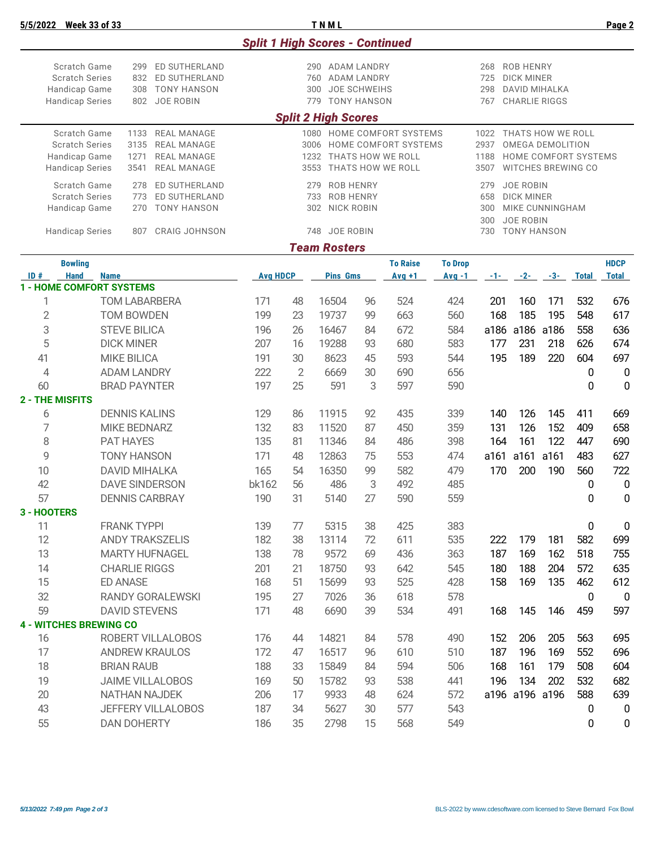|                                                                                                                                                                                                                                                  |                                                                                             |                                                                                                                                                                                                                              |                         |                                                                                                                                                                                                                                                                                                   |                                              | <b>Split 1 High Scores - Continued</b> |          |                                                                               |                |            |                    |       |                  |                  |
|--------------------------------------------------------------------------------------------------------------------------------------------------------------------------------------------------------------------------------------------------|---------------------------------------------------------------------------------------------|------------------------------------------------------------------------------------------------------------------------------------------------------------------------------------------------------------------------------|-------------------------|---------------------------------------------------------------------------------------------------------------------------------------------------------------------------------------------------------------------------------------------------------------------------------------------------|----------------------------------------------|----------------------------------------|----------|-------------------------------------------------------------------------------|----------------|------------|--------------------|-------|------------------|------------------|
| Scratch Game<br>299<br>ED SUTHERLAND<br><b>Scratch Series</b><br>832<br>ED SUTHERLAND<br><b>TONY HANSON</b><br>Handicap Game<br>308<br><b>Handicap Series</b><br><b>JOE ROBIN</b><br>802                                                         |                                                                                             | <b>ROB HENRY</b><br>290 ADAM LANDRY<br>268<br>760<br><b>ADAM LANDRY</b><br>725<br><b>DICK MINER</b><br><b>JOE SCHWEIHS</b><br><b>DAVID MIHALKA</b><br>300<br>298<br><b>TONY HANSON</b><br><b>CHARLIE RIGGS</b><br>779<br>767 |                         |                                                                                                                                                                                                                                                                                                   |                                              |                                        |          |                                                                               |                |            |                    |       |                  |                  |
|                                                                                                                                                                                                                                                  |                                                                                             |                                                                                                                                                                                                                              |                         |                                                                                                                                                                                                                                                                                                   |                                              | <b>Split 2 High Scores</b>             |          |                                                                               |                |            |                    |       |                  |                  |
| Scratch Game<br><b>REAL MANAGE</b><br>1133<br><b>Scratch Series</b><br>3135<br><b>REAL MANAGE</b><br><b>REAL MANAGE</b><br>Handicap Game<br>1271<br><b>Handicap Series</b><br><b>REAL MANAGE</b><br>3541<br>Scratch Game<br>ED SUTHERLAND<br>278 |                                                                                             |                                                                                                                                                                                                                              |                         | 1080 HOME COMFORT SYSTEMS<br>1022 THATS HOW WE ROLL<br>HOME COMFORT SYSTEMS<br>2937<br>OMEGA DEMOLITION<br>3006<br>1232 THATS HOW WE ROLL<br>HOME COMFORT SYSTEMS<br>1188<br>3553<br>THATS HOW WE ROLL<br><b>WITCHES BREWING CO</b><br>3507<br><b>ROB HENRY</b><br><b>JOE ROBIN</b><br>279<br>279 |                                              |                                        |          |                                                                               |                |            |                    |       |                  |                  |
|                                                                                                                                                                                                                                                  | <b>Scratch Series</b><br>ED SUTHERLAND<br>773<br><b>TONY HANSON</b><br>Handicap Game<br>270 |                                                                                                                                                                                                                              |                         |                                                                                                                                                                                                                                                                                                   | 733<br><b>ROB HENRY</b><br>NICK ROBIN<br>302 |                                        |          | 658<br><b>DICK MINER</b><br>MIKE CUNNINGHAM<br>300<br><b>JOE ROBIN</b><br>300 |                |            |                    |       |                  |                  |
|                                                                                                                                                                                                                                                  | <b>Handicap Series</b>                                                                      | 807                                                                                                                                                                                                                          | <b>CRAIG JOHNSON</b>    |                                                                                                                                                                                                                                                                                                   |                                              | 748 JOE ROBIN                          |          |                                                                               |                | 730        | <b>TONY HANSON</b> |       |                  |                  |
|                                                                                                                                                                                                                                                  | <b>Bowling</b>                                                                              |                                                                                                                                                                                                                              |                         |                                                                                                                                                                                                                                                                                                   |                                              | <b>Team Rosters</b>                    |          | <b>To Raise</b>                                                               | <b>To Drop</b> |            |                    |       |                  | <b>HDCP</b>      |
| ID#                                                                                                                                                                                                                                              | <b>Hand</b><br><b>Name</b>                                                                  |                                                                                                                                                                                                                              |                         | <b>Avg HDCP</b>                                                                                                                                                                                                                                                                                   |                                              | <b>Pins Gms</b>                        |          | $Avg +1$                                                                      | $Avg -1$       | $-1 -$     | $-2-$              | $-3-$ | <b>Total</b>     | <b>Total</b>     |
|                                                                                                                                                                                                                                                  | <b>1 - HOME COMFORT SYSTEMS</b>                                                             |                                                                                                                                                                                                                              |                         |                                                                                                                                                                                                                                                                                                   |                                              |                                        |          |                                                                               |                |            |                    |       |                  |                  |
| 1                                                                                                                                                                                                                                                |                                                                                             |                                                                                                                                                                                                                              | <b>TOM LABARBERA</b>    | 171                                                                                                                                                                                                                                                                                               | 48                                           | 16504                                  | 96       | 524                                                                           | 424            | 201        | 160                | 171   | 532              | 676              |
| $\overline{2}$                                                                                                                                                                                                                                   |                                                                                             | <b>TOM BOWDEN</b>                                                                                                                                                                                                            |                         | 199                                                                                                                                                                                                                                                                                               | 23                                           | 19737                                  | 99       | 663                                                                           | 560            | 168        | 185                | 195   | 548              | 617              |
| 3                                                                                                                                                                                                                                                |                                                                                             | <b>STEVE BILICA</b>                                                                                                                                                                                                          |                         | 196                                                                                                                                                                                                                                                                                               | 26                                           | 16467                                  | 84       | 672                                                                           | 584            | a186       | a186               | a186  | 558              | 636              |
| 5                                                                                                                                                                                                                                                |                                                                                             | <b>DICK MINER</b>                                                                                                                                                                                                            |                         | 207                                                                                                                                                                                                                                                                                               | 16                                           | 19288                                  | 93       | 680                                                                           | 583            | 177        | 231                | 218   | 626              | 674              |
| 41                                                                                                                                                                                                                                               |                                                                                             | <b>MIKE BILICA</b>                                                                                                                                                                                                           |                         | 191                                                                                                                                                                                                                                                                                               | 30                                           | 8623                                   | 45       | 593                                                                           | 544            | 195        | 189                | 220   | 604              | 697              |
|                                                                                                                                                                                                                                                  | $\overline{4}$<br><b>ADAM LANDRY</b>                                                        |                                                                                                                                                                                                                              | 222                     | $\overline{2}$                                                                                                                                                                                                                                                                                    | 6669                                         | 30                                     | 690      | 656                                                                           |                |            |                    | 0     | $\boldsymbol{0}$ |                  |
|                                                                                                                                                                                                                                                  | 60<br><b>BRAD PAYNTER</b><br>2 - THE MISFITS                                                |                                                                                                                                                                                                                              | 197                     | 25                                                                                                                                                                                                                                                                                                | 591                                          | 3                                      | 597      | 590                                                                           |                |            |                    | 0     | $\mathbf{0}$     |                  |
|                                                                                                                                                                                                                                                  |                                                                                             | <b>DENNIS KALINS</b>                                                                                                                                                                                                         |                         |                                                                                                                                                                                                                                                                                                   |                                              | 11915                                  |          | 435                                                                           |                |            |                    | 145   |                  |                  |
| 6<br>7                                                                                                                                                                                                                                           |                                                                                             | <b>MIKE BEDNARZ</b>                                                                                                                                                                                                          |                         | 129<br>132                                                                                                                                                                                                                                                                                        | 86<br>83                                     | 11520                                  | 92<br>87 | 450                                                                           | 339<br>359     | 140<br>131 | 126<br>126         | 152   | 411<br>409       | 669<br>658       |
| 8                                                                                                                                                                                                                                                |                                                                                             | PAT HAYES                                                                                                                                                                                                                    |                         | 135                                                                                                                                                                                                                                                                                               | 81                                           | 11346                                  | 84       | 486                                                                           | 398            | 164        | 161                | 122   | 447              | 690              |
| 9                                                                                                                                                                                                                                                |                                                                                             | <b>TONY HANSON</b>                                                                                                                                                                                                           |                         | 171                                                                                                                                                                                                                                                                                               | 48                                           | 12863                                  | 75       | 553                                                                           | 474            | a161       | a161               | a161  | 483              | 627              |
| 10                                                                                                                                                                                                                                               |                                                                                             | <b>DAVID MIHALKA</b>                                                                                                                                                                                                         |                         | 165                                                                                                                                                                                                                                                                                               | 54                                           | 16350                                  | 99       | 582                                                                           | 479            | 170        | 200                | 190   | 560              | 722              |
| 42                                                                                                                                                                                                                                               |                                                                                             |                                                                                                                                                                                                                              | <b>DAVE SINDERSON</b>   | bk162                                                                                                                                                                                                                                                                                             | 56                                           | 486                                    | 3        | 492                                                                           | 485            |            |                    |       | 0                | $\boldsymbol{0}$ |
| 57                                                                                                                                                                                                                                               |                                                                                             |                                                                                                                                                                                                                              | <b>DENNIS CARBRAY</b>   | 190                                                                                                                                                                                                                                                                                               | 31                                           | 5140                                   | 27       | 590                                                                           | 559            |            |                    |       | 0                | 0                |
| 3 - HOOTERS                                                                                                                                                                                                                                      |                                                                                             |                                                                                                                                                                                                                              |                         |                                                                                                                                                                                                                                                                                                   |                                              |                                        |          |                                                                               |                |            |                    |       |                  |                  |
| 11                                                                                                                                                                                                                                               |                                                                                             | <b>FRANK TYPPI</b>                                                                                                                                                                                                           |                         | 139                                                                                                                                                                                                                                                                                               | 77                                           | 5315                                   | 38       | 425                                                                           | 383            |            |                    |       | $\pmb{0}$        | $\mathbf 0$      |
| 12                                                                                                                                                                                                                                               |                                                                                             |                                                                                                                                                                                                                              | <b>ANDY TRAKSZELIS</b>  | 182                                                                                                                                                                                                                                                                                               | 38                                           | 13114                                  | 72       | 611                                                                           | 535            | 222        | 179                | 181   | 582              | 699              |
| 13                                                                                                                                                                                                                                               |                                                                                             |                                                                                                                                                                                                                              | <b>MARTY HUFNAGEL</b>   | 138                                                                                                                                                                                                                                                                                               | 78                                           | 9572                                   | 69       | 436                                                                           | 363            | 187        | 169                | 162   | 518              | 755              |
| 14                                                                                                                                                                                                                                               |                                                                                             | <b>CHARLIE RIGGS</b>                                                                                                                                                                                                         |                         | 201                                                                                                                                                                                                                                                                                               | 21                                           | 18750                                  | 93       | 642                                                                           | 545            | 180        | 188                | 204   | 572              | 635              |
| 15                                                                                                                                                                                                                                               |                                                                                             | <b>ED ANASE</b>                                                                                                                                                                                                              |                         | 168                                                                                                                                                                                                                                                                                               | 51                                           | 15699                                  | 93       | 525                                                                           | 428            | 158        | 169                | 135   | 462              | 612              |
| 32                                                                                                                                                                                                                                               |                                                                                             |                                                                                                                                                                                                                              | RANDY GORALEWSKI        | 195                                                                                                                                                                                                                                                                                               | 27                                           | 7026                                   | 36       | 618                                                                           | 578            |            |                    |       | $\pmb{0}$        | $\overline{0}$   |
| 59                                                                                                                                                                                                                                               |                                                                                             | <b>DAVID STEVENS</b>                                                                                                                                                                                                         |                         | 171                                                                                                                                                                                                                                                                                               | 48                                           | 6690                                   | 39       | 534                                                                           | 491            | 168        | 145                | 146   | 459              | 597              |
|                                                                                                                                                                                                                                                  | <b>4 - WITCHES BREWING CO</b>                                                               |                                                                                                                                                                                                                              |                         |                                                                                                                                                                                                                                                                                                   |                                              |                                        |          |                                                                               |                |            |                    |       |                  |                  |
| 16                                                                                                                                                                                                                                               |                                                                                             |                                                                                                                                                                                                                              | ROBERT VILLALOBOS       | 176                                                                                                                                                                                                                                                                                               | 44                                           | 14821                                  | 84       | 578                                                                           | 490            | 152        | 206                | 205   | 563              | 695              |
| 17                                                                                                                                                                                                                                               |                                                                                             |                                                                                                                                                                                                                              | <b>ANDREW KRAULOS</b>   | 172                                                                                                                                                                                                                                                                                               | 47                                           | 16517                                  | 96       | 610                                                                           | 510            | 187        | 196                | 169   | 552              | 696              |
| 18                                                                                                                                                                                                                                               |                                                                                             | <b>BRIAN RAUB</b>                                                                                                                                                                                                            |                         | 188                                                                                                                                                                                                                                                                                               | 33                                           | 15849                                  | 84       | 594                                                                           | 506            | 168        | 161                | 179   | 508              | 604              |
| 19                                                                                                                                                                                                                                               |                                                                                             |                                                                                                                                                                                                                              | <b>JAIME VILLALOBOS</b> | 169                                                                                                                                                                                                                                                                                               | 50                                           | 15782                                  | 93       | 538                                                                           | 441            | 196        | 134                | 202   | 532              | 682              |
| $20\,$                                                                                                                                                                                                                                           |                                                                                             |                                                                                                                                                                                                                              | <b>NATHAN NAJDEK</b>    | 206                                                                                                                                                                                                                                                                                               | 17                                           | 9933                                   | 48       | 624                                                                           | 572            |            | a196 a196 a196     |       | 588              | 639              |
| 43                                                                                                                                                                                                                                               |                                                                                             |                                                                                                                                                                                                                              | JEFFERY VILLALOBOS      | 187                                                                                                                                                                                                                                                                                               | 34                                           | 5627                                   | 30       | 577                                                                           | 543            |            |                    |       | $\mathbf 0$      | 0                |
| 55                                                                                                                                                                                                                                               |                                                                                             | <b>DAN DOHERTY</b>                                                                                                                                                                                                           |                         | 186                                                                                                                                                                                                                                                                                               | 35                                           | 2798                                   | 15       | 568                                                                           | 549            |            |                    |       | 0                | 0                |